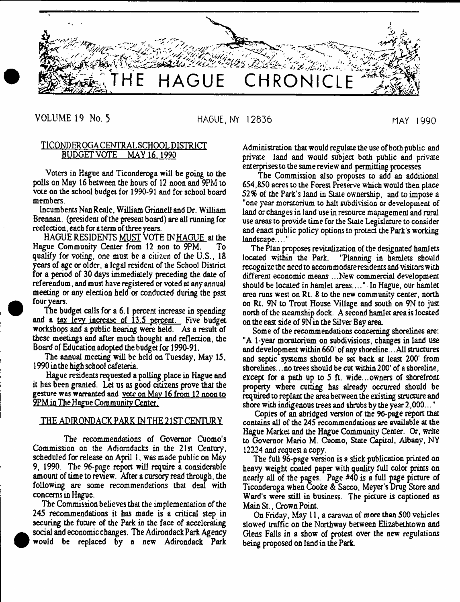

# VOLUME 19 No. 5 HAGUE, NY 12836 MAY 1990

## TICONDEROGA CENTRAL SCHOOL DISTRICT BUDGETVOTE MAY 16. 1990

Voters in Hague and Ticonderoga will be going to the polls on May 16 between the hours of 12 noon and 9PM to vote on the school budget for 1990-91 and for school board members.

Incumbents Nan Reale, William Grinnell and Dr. William Brennan, (president of the present board) are all running for reelection, each for a term of three years.

HAGUE RESIDENTS MUST VOTE IN HAGUE at the Hague Community Center from 12 non to 9PM. To qualify for voting, one must be a citizen of the U.S., 18 years of age or older, a legal resident of the School District for a period of 30 days immediately preceding the date of referendum, and must have registered or voted at any annual meeting or any election held or conducted during the past four years.

The budget calls for a 6.1 percent increase in spending and a tax levy increase of 13.5 percent. Five budget workshops and a public hearing were held. As a result of these meetings and after much thought and reflection, the Board of Education adopted the budget for 1990-91.

The annual meeting will be held on Tuesday, May 15, 1990 in the high school cafeteria.

Hague residents requested a polling place in Hague and it has been granted. Let us as good citizens prove that the gesture was warranted and vote on May 16 from 12 noon to 9PM in The Hague Community Center.

## THE ADIRONDACK PARK IN THE 215T CENTURY

The recommendations of Governor Cuomo's Commission on the Adiomdacks in the 21st Century, scheduled for release on April 1, was made public on May 9, 1990. The 96-page report will require a considerable amount of time to review. After a cursory read through, the following are some recommendations that deal with concerns in Hague.

The Commission believes that the implementation of the 245 recommendations it has made is a critical step in securing the future of the Park in the face of accelerating social and economic changes. The Adirondack Park Agency would be replaced by a new Adirondack Park

 $\bullet$ 

Administration that would regulate the use of both public and private land and would subject both public and private enterprises to the same review and permitting processes

The Commission also proposes to add an additional 654,850 acres to the Forest Preserve which would then place *52%* of the Park's land in Stale ownership, and to impose a "one year moratorium to halt subdivision or development of land or changes in land use in resource management and rural use areas to provide time for the State Legislature to consider and enact public policy options to protea the Park's working landscape...."

The Plan proposes revitalization of the designated hamlets located within the Park. "Planning in hamlets should recognize the need to accommodate residents and visitors with different economic means ...New commercial development should be located in hamlet areas.... " In Hague, our hamlet area runs west on Rt. 8 to the new community center, north on Rx. 9N to Trout House Village and south on 9N to just north of the steamship dock. A second hamlet area is located on the east side of 9N in the Silver Bay area.

Some of the recommendations concerning shorelines are: "A 1-year moratorium on subdivisions, changes in land use and development within 660' of any shoreline... All structures and septic systems should be set back at least 200' from shorelines. ..no trees should be cut within200' of a shoreline, except for a path up to 5 ft. wide...owners of shorefront property where cutting has already occurred should be required to replant the area between the existing structure and shore with indigenous trees and shrubs by the year 2,000..."

Copies of an abridged version or the 96-page report that contains all of the 245 recommendations are available at the Hague Market and the Hague Community Cemer. Or, write to Governor Mario M. Cuomo, State Capitol, Albany, NY 12224 and request a copy.

The full 96-page version is a slick publication printed on heavy weight coated paper with quality full color prints on nearly all of the pages. Page #40 is a full page picture of Ticonderoga when Cooke & Sacco, Meyer's Drug Store and Ward's were still in business. The picture is captioned as Main St., Crown Point.

On Friday, May 11, a caravan of more than 500 vehicles slowed traffic on the Northway between Elizabethtown and Glens Falls in a show of protest over the new regulations being proposed on land in the Park.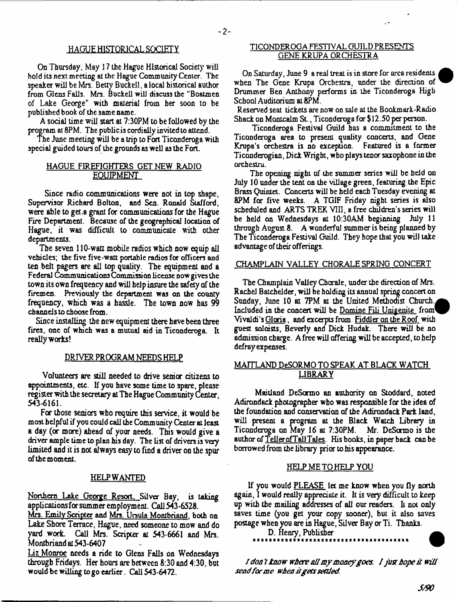## **HAOUE HISTORICAL SOCIETY**

On Thursday, May 17 the Hague Historical Society will hold its next meeting at the Hague Community Center. The speaker will be Mrs. Betty Buckell, a local historical author from Glens Falls. Mrs. Buckell will discuss the "Boatmen of Lake George" with material from her soon to be published book of the same name.

A social time will start at 7:30PM to be followed by the program at 8PM. The public is cordially invited to attend.

The June meeting will be a trip to Fort Ticonderoga with special guided tours of the grounds as well as the Fort.

## HAGUE FIREFIGHTERS GET NEW RADIO EQUIPMENT

Since radio communications were not in top shape, Supervisor Richard Bolton, and Sen. Ronald Stafford, were able to get.a grant for communications for the Hague Fire Department. Because of the geographical location of Hague, it was difficult to communicate with other departments.

The seven 110-watt mobile radios which now equip all vehicles; the five five-watt portable radios for officers and ten belt pagers are all top quality. The equipment and a Federal Communicarions Commissi on license now gives the town its own frequency and will help insure the safety of the firemen. Previously the department was on the county frequency, which was a hassle. The town now has 99 channels to choose from.

Since installing the new equipment there have been three fires, one of which was a mutual aid in Ticonderoga. It really works!

### DRIVER PROGRAM NEEDS HELP

Volunteers are still needed to drive senior citizens to appointments, etc. If you have some time to spare, please register with the secretary at The Hague Community Center, 543-6161.

For those seniors who require this service, it would be most helpful if you could call the Community Center at least a day (or more) ahead of your needs. This would give a driver ample time to plan his day. The list of drivers is very limited and it is not always easy to find a driver on the spur afthemoment.

#### HELP WANTED

Northern Lake George Resort. Silver Bay, is taking applications for summer employment. Call 543-6528.

Mrs. Emily Scripter and Mrs. Ursula Montbriand, both on Lake Shore Terrace, Hague, need someone to mow and do yard work. Call Mrs. Scripter at 543-6661 and Mrs. Montbriand at543-6407

Liz Monroe needs a ride to Glens Falls on Wednesdays through Fridays. Her hours are between 8:30 and 4:30, but would be willing to go earlier. Call 543-6472.

## TICONDEROGA FESTIVAL GUILD PRESENTS GENE KRUPA ORCHESTRA

On Saturday, June 9 areal treat is in store for area residents when The Gene Krupa Orchestra, under the direction of Drummer Ben Anthony performs in the Ticonderoga High School Auditorium at 8PM.

Reserved seat tickets are now on sale at the Bookmark-Radio Shack on Montcalm St., Ticonderoga for \$12.50 per person.

Ticonderoga Festival Guild has a commitment to the Ticonderoga area to present quality concerts, and Gene Krupa's orchestra is no exception. Featured is a former Ticonderogian, Dick Wright, who plays tenor saxophone in the orchestra.

The opening night of the summer series will be held on July 10 under the tent on the village green, featuring the Epic Brass Quintet. Concerts will be held each Tuesday evening at 8PM for five weeks. A TGIF Friday night series is also scheduled and ARTS TREK VIII, a free children's series will be held on Wednesdays at 10:30AM beginning July 11 through August 8. A wonderful summer is being planned by The Ticonderoga Festival Guild. They hope that you will take advantage of their offerings.

#### CHAMPLAIN VALLEY CHORALE SPRING CONCERT

The Champlain Valley Chorale, under the direction of Mrs. Rachel Batchelder, will be holding its annual spring concert on Sunday, June 10 at 7PM at the United Methodist Church *.<sup>a</sup>* Included in the concert will be Domine Fili Unigenite from Vivaldi's Gloria, and excerpts from Fiddler on the Roof with guest soloists, Beverly and Dick Hudak. There will be no admission charge. A free will offering will be accepted, to help defray expenses.

## MAITLAND DeSORMO TO SPEAK AT BLACK WATCH LIBRARY

Maitland DeSarmo an authority on Stoddard, noted Adirondack photographer who was responsible for the idea of the foundation and conservation of the Adirondack Park land, will present a program at the Black Watch Library in Ticonderoga on May 16 at 7:30PM. Mr. DeSanno is the author of Teller of Tail Tales. His books, in paper back can be borrowed from the library prior to his appearance.

## HELP ME TO HELP YOU

If you would PLEASE let me know when you fly north again, I would really appreciate it. It is very difficult to keep up with the mailing addresses of all our readers. It not only saves time (you get your copy sooner), but it also saves postage when you are in Hague, Silver Bay or Ti. Thanks.

D. Henry, Publisher

*I don't know where all my money goes. I just hope it will send for me when if gets settled.*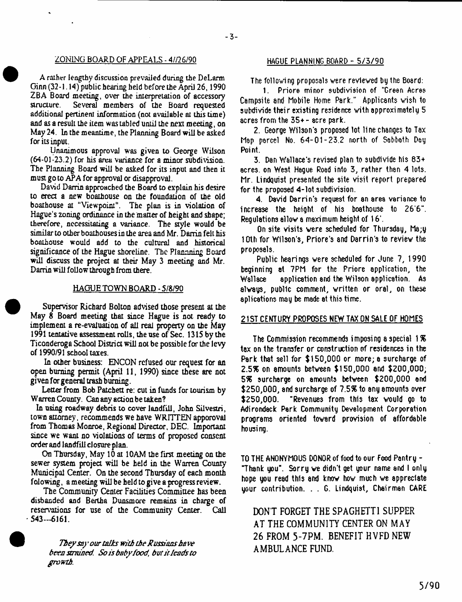## Z0N1NG BOARD OF APPEALS - 4//26/90 **HAGUE PLANNING BOARD - 5 / 3 / 9 0**

A rather lengthy discussion prevailed during the DeLarm Ginn (32-1.14) public hearing held before the April 26,1990 ZBA Board meeting, over the interpretation of accessory<br>structure. Several members of the Board requested Several members of the Board requested additional pertinent information (not available at this time) and as a result the item was tabled until the next meeting, on May 24. In the meantime, the Planning Board will be asked for its input.

Unanimous approval was given to George Wilson (64-01-23.2) for his area variance for a minor subdivision. The Planning Board will be asked for its input and then it must go to APA for approval or disapproval.

David Darrin approached the Board to explain his desire to erect a new boathouse on the foundation of the old boathouse at "Viewpoint". The plan is in violation of Hague's zoning ordinance in the matter of height and shape; therefore, necessitating a variance. The style would be similar to other boathouses in the area and Mr. Darrin felt his boathouse would add to the cultural and historical significance of the Hague shoreline. The Plannning Eoard will discuss the project at their May 3 meeting and Mr. Darrin will follow through from there.

#### HAGUE TOWN BOARD - 5/8/90

Supervisor Richard Bolton advised those present at the May 8 Board meeting that since Hague is not ready to implement a re-evaluation of all real property on the May 1991 teniative assessment rolls, the use of Sec. 1315 by the Ticonderoga School District will not be possible for the levy of 1990/91 school taxes.

In other business: ENCON refused our request for an open burning permit (April 11, 1990) since these are not given for general trash burning.

Letter from Bob Patchett re: cut in funds for tourism by Warren County. Can any action be taken?

In using roadway debris to cover landfill, John Silvestri, town attorney, recommends we have WRITTEN apporoval from Thomas Monroe, Regional Director, DEC. Important since we want no violations of terms of proposed consent order and landfill closure plan.

On Thursday, May 10 at 10AM the first meeting on the sewer system project will be held in the Warren County Municipal Center. On the second Thursday of each month folowing, a meeting will be held to give a progress review.

The Community Center Facilities Committee has been disbanded and Bertha Dunsmore remains in charge of reservations for use of the Community Center. Call  $-543-6161$ .

> *They say our talks with the Russians have been strained. So is baby food, but it leads to growth*

The following proposals were reviewed by the Board:

**I. P riore minor subdivision of "Green Acres** Campsite and Mobile Home Park." Applicants wish to **subdivide their existing residence with approximately** 5 **acres from the 35+ - 8cre park.**

**2. George W ils o n 's proposed lot lin e changes to Tsx Map parcel No. 6 4 - 0 1 - 2 3 . 2 north of Sabbath Day Poi nt.**

**3. Dan W allace's revised plan to subdivide his 8 3 + a cres, on W est Hague Road into 3 , rather than 4 lots.** Mr. Lindquist presented the site visit report prepared for the proposed 4-lot subdivision.

**4.** David Darrin's request for an area variance to **in c rea se the height of his boathouse to 2 6 '6". Regulations allow a maximum height of 1 6 '.**

**On site visits were scheduled for Thursday, Ma;y 10th for W ilson's, Priore's and Darrin's to review the proposals.**

**Public hearings were scheduled for June 7, 1 9 9 0 beginning at 7PM for the Priore application, the Wallace application and the W ilson application. As always, public comment, written or oral, on these** aplications may be made at this time.

## 21ST CENTURY PROPOSES NEW TAX ON SALE OF HOMES

**The Comm ission recommends im posing a special 1** *%* tax on the transfer or construction of residences in the **Park that sell for \$ 1 5 0 , 0 0 0 or more; a surcharge of 2.5% on amounts between \$ 1 5 0 ,0 0 0 and \$ 2 0 0 , 0 0 0 , 5 \$ surcharge on amounts between \$ 2 0 0 , 0 0 0 and \$ 2 5 0 , 0 0 0 , and surcharge of** *75%* **to any amounts over \$ 2 5 0 , 0 0 0 . "Revenues from this t8x would go to Adirondack Park Community Development Corporation programs oriented toward provision of affordable housing.**

TO THE ANONYMOUS DONOR of food to our Food Pantry -"Thank you". Sorry we didn't get your name and I only hope you read this and know how much we appreciate **your contribution. . . G. Lindquist, Chairman CARE**

DON'T FORGET THE SPAGHETTI SUPPER AT THE COMMUNITY CENTER ON MAY 26 FROM 5-7PM. BENEFIT HVFD NEW AMBULANCE FUND.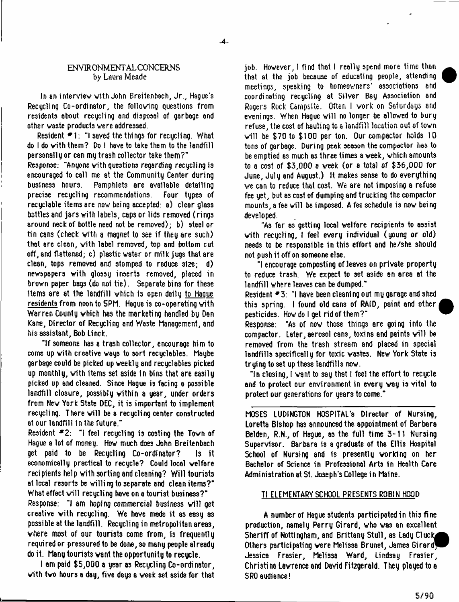## ENV1R0NMENT AL CONCERNS by Laura Meade

In an interview with John Breitenbach, Jr., Hague's **Recycling Co-ordinator, the following questions from residents about recycling and disposal of garbage end** other waste products were addressed.

**Resident #1: "I saved the things for recucling. What** do I do with them? Do I have to take them to the landfill **personally or can my trash collector take them?"**

**Response: "Anyone with questions regarding recycling is encouraged to call me at the Community Center during business hours. Pamphlets are available detailing precise recycling recommendations. Four types of** recyclable items are now being accepted: a) clear glass bottles and jars with labels, caps or lids removed (rings **around neck of bottle need not be rem oved); b) steel or** tin cans (check with a magnet to see if they are such) **that are cleon, with label removed, top and bottom cut off, and flattened; c) plastic water or milk jugs that are clean, tops removed and stomped to reduce size; d) newspapers with glossy inserts removed, placed in** brown paper bags (do not tie). Separate bins for these items are at the landfill which is open daily to Haque **residents from noon to 5PM. Hague is co-operating with** Warren County which has the marketing handled by Dan **Kane, Director of Recycling and Waste Management, and his a ssista n t, Bob Li nek.**

**"If someone has a trash co llecto r , encourage him to come up with creative ways to sort recyclables. Maybe** garbage could be picked up weekly and recyclables picked up monthly, with items set aside in bins that are easily **picked up and cleaned. Since Hague is facing a possible** landfill closure, possibly within a year, under orders from New York State DEC, it is important to implement recycling. There will be a recycling center constructed **at our landfill in the future."**

**Resident** <sup>\*2:</sup> "I feel recycling is costing the Town of Hague a lot of money. How much does John Breitenbach **get paid to be Recycling Co-ordinator? Is it** economically practical to recycle? Could local welfare **recipients help with sorting snd cleaning? Will tourists** at local resorts be willing to separate and clean items?" **What effect w ill recycling have on a tourist business?"**

Response: "I am hoping commercial business will get **creative w ith recycling. We have made it as easy as possible at the landfill. Recycling in metropolitan areas, where most of our tourists come from, is frequently required or pressured to be done, so many people already** do it. Many tourists want the opportunity to recycle.

**I am paid \$5,000 a year as Recycling Co-ordinator,** with two hours a day, five days a week set aside for that iob. However, I find that I really spend more time than **that at the job because of educating people, attending** meetings, speaking to homeowners' associations and coordinating recycling at Silver Bay Association and Rogers Rock Campsite. Often I work on Saturdays and evenings. When Hague will no longer be allowed to bury refuse, the cost of hauling to a landfill location out of town will be \$70 to \$100 per ton. Our compactor holds 10 **tons of garbage. During peak season the compactor has to** be emptied as much as three times a week, which amounts **to a cost of \$ 3 , 0 0 0 a week ( o r a total** *of* **\$ 3 6 ,0 0 0 for June, July and August.) It makes sense to do everything we can to reduce that cost. We are not im posing a refuse fee yet, but as cost of dumping and trucking the compactor** mounts, a fee will be imposed. A fee schedule is now being **developed.**

"As far as getting local welfare recipients to assist with recycling, I feel every individual (young or old) needs to be responsible in this effort and he/she should **not push it off on someone else.**

**"I encourage composting of lea ves on p riv a te p ro p e rty to reduce trash. We expect to set aside an area at the landfill where leaves can be dumped."**

**Resident \* 3 : "I have been cleaning out my garage and shed** this spring. I found old cans of RAID, paint and other **pesticides. How do I get rid of them ?"**

**Response:** "As of now those things are going into the compactor. Later, aerosol cans, toxins and paints will be **removed from the trash stream and placed in special landfills specifically for toxic wastes. New York State is try in g to set up these lan d fills now.**

"In closing, I want to say that I feel the effort to recycle **and to protect our environment in every way is vital to protect our generations for years to come."**

MOSES LUDINGTON HOSPITAL's Director of Nursing, **Loretta Bishop has announced the appointment of Barbara Belden, R.N., of Hague, as the full time 3 - 1 1 Nursing** Supervisor. Barbara is a graduate of the Ellis Hospital **School of Nursing and is presently working on her Bachelor of Science in Professional Arts in Health Care** Administration at St. Joseph's College in Maine.

## **Tl ELEMENTARY SCHOOL PRESENTS ROBIN HOOD**

A number of Hague students participated in this fine **production, namely Perry Girard, who was an excellent** Sheriff of Nottingham, and Brittany Stull, as Lady Cluck, Others participating were Melissa Brunet, James Girard<sup>1</sup> **Jessica Frasier, Melissa Ward, Lindsay Frasier, Christina Lawrence and David Fitzgerald. They played to a SRO audience!**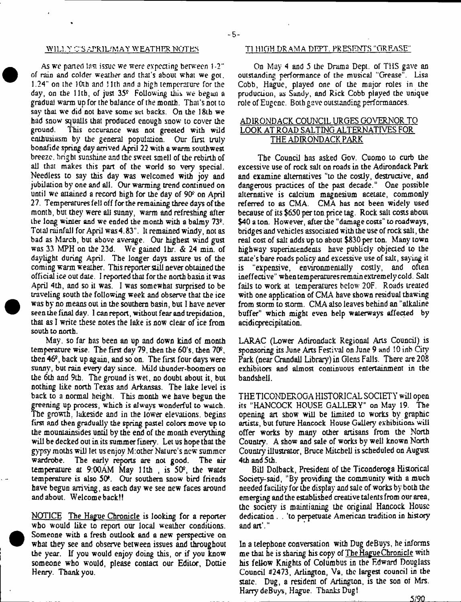As we parted last issue we were expecting between 1-2" of rain and colder weather and that's about what we got. 1.24" on the 10th and 11 th and a high temperature for the day, on the 11th, of just  $35<sup>°</sup>$  Following this we begun a gradual warm up for the balance of the month. That's not to say that we did not have some **set** backs. On the 18ih we had snow squalls that produced enough snow to cover the ground. This occurance was not greeted with wild This occurance was not greeted with wild enthusiasm by the general population. Our first truly bonafide spring day arrived April 22 with a warm southwest breeze, bright sunshine and the sweet smell of the rebirth of all that makes this part of the world so very special. Needless to say this day was welcomed with joy and jubilation by one and all. Our warming trend continued on until we attained a record high for the day of 90<sup>\*</sup> on April 27. Temperatures fell off for the remaining three days of the month, but they were all sunny, warm and refreshing alter the long winter and we ended the month with a balmy 73<sup>2</sup>. Total rainfall for April was 4.83". It remained windy, not as bad as March, but above average. Our highest wind gust was 33 MPH on the 23d. We gained lhr. & 24 min. of daylight during April. The longer days assure us of the coming warm weather. This reporter still never obtained the official ice out date. I reported that for the north basin it was April 4th, and so it was. I was somewhat surprised to be traveling south the following week and observe that the ice was by no means out in the southern basin, but I have never seen the final day. I canreport, without fear and trepidation, that as I write these notes the lake is now clear of ice from south to north.

May. so far has been an up and down kind of month temperature wise. The first day 79, then the 60's, then 70\*, then  $46<sup>°</sup>$ , back up again, and so on. The first four days were sunny, but rain every day since. Mild Lhunder-boomers on the 6th and 9th. The ground is wet, no doubt about it, but nothing like north Texas and Arkansas. The lake level is back to a normal height. This month we have begun the greening up process, which is always wonderful to watch. The growth, lakeside and in the lower elevations. begins first and then gradually the spring pastel colors move up to the mountainsides until by the end of the month everything will be decked out in its summer finery. Let us hope that the gypsy moths will let us enjoy M:other Nature's new summer wardrobe. The early reports are not good. The air temperature at  $9:00$ AM May 11th, is  $50^\circ$ , the water temperature is also 50\*. Our southern snow bird friends have begun arriving, as each day we see new faces around and about. Welcomeback!!

NOTICE The Hague Chronicle is looking for a reporter who would like to report our local weather conditions. Someone with a fresh outlook and a new perspective on what they see and observe between issues and throughout the year. If you would enjoy doing this, or if you know someone who would, please contact our Editor, Dottie Henry. Thank you.

#### WILLY CSAPRIL/MAY WEATHER NOTES T1 111 OH DRAMA DEPT. PRESENTS "GREASE"

On May 4 and 5 ihe Drama Dept, of THS gave an outstanding performance of the musical "Grease". Lisa Cobb, Hague, played one of the major roles in the production, **as** Sandy, and Rick Cobb played the unique role of Eugene. Both gave outstanding performances.

## ADIRONDACK COUNCIL URGES GOVERNOR TO LOOK AT ROAD SALTING ALTERNATIVES FOR THE ADIRONDACK PARK

The Council has asked Gov. Cuomo to curb the excessive use of rock salt on roads in the Adirondack Park and examine alternatives "to the costly, destructive, and dangerous practices of the past decade." One possible alternative is calcium magnesium acetate, commonly referred to as CMA. CMA has not been widely used because of its \$650 per ton price tag. Rock salt costs about \$40 a ton. However, after the "damage costs" to roadways, bridges and vehicles associated with the use of rock salt, the real cost of salt adds up to about \$830 per ton. Many town highway superintendents have publicly objected to the state's bare roads policy and excessive use of salt, saying it is "expensive, environmentally costly, and often ineffective" whentemperaniresremainextremelycold. Salt fails to work at temperatures below 2OF. Roads treated with one application of CMA have shown residual thawing from storm to storm. CMA also leaves behind an "alkaline buffer" which might even help waterways affected by acidicprecipitaiion.

LARAC (Lower Adirondack Regional Arts Council) is sponsoring its June Arts Festival on June 9 **and** ! 0 **inb** City Park (near Crandall Library) in Glens Falls. There are 208 exhibitors and almost continuous entertainment in the bandsheli.

THE TICONDEROGA HISTORICAL SOCIETY will open its "HANCOCK HOUSE GALLERY" on May 19. The opening an show will be limited to works by graphic artists, but future Hancock House Gallery exhibitions will offer works by many other artisans from the North Country. A show and sale of works by welt known North Country illuarator, Bruce Mitchell is scheduled on August 4th and 5th.

Bill Dolback, President of the Ticonderoga Historical Society-said, "By providing the community with a much needed facility for the display and sale of works by both the emerging and the established creative talents from our area, the society is maintianing the original Hancock House dedication . . 'to perpetuate American tradition in history and  $art'$ ."

In a telephone conversation with Dug deBuys, he informs me that he is sharing his copy of The Hague Chronicle with his fellow Knights of Columbus in the Edward Douglass Council #2473, Arlington, Va, the largest council in the state. Dug, a resident of Arlington, is the son oi Mrs. Harry deBuys, Hague. ThanksDugt

5/90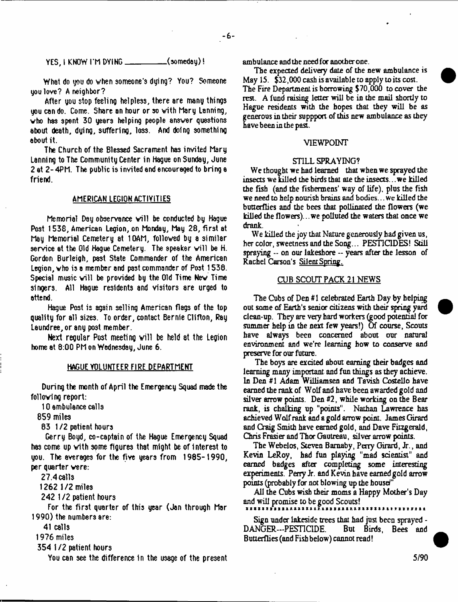**YES, I KNOW I'M DYING\_\_\_\_\_\_\_\_\_\_ (som eday)!**

**What do you do when som eone's dying? You? Someone you lo v e ? A neighbor?**

**After you stop feeling helpless, there are many things you can do. Come. Share an hour or so w ith Mary Lanning,** who has spent 30 years helping people answer questions about death, dying, suffering, loss. And doing something **about it.**

**The Church of the Blessed Sacrament has invited Mary Lanning to The Community Center in Hague on Sunday, June 2 at 2 - 4PM. The public is invited and encouraged to bring a friend.**

#### **AMERICAN LEGION ACTIVITIES**

**Memorial Day observance w ill be conducted by Hague Post 1 5 3 8 , American Legion, on Monday, May 2 8 , first at** May Memorial Cemetery at 10AM, followed by a similar service at the Old Haque Cemetery. The speaker will be H. **Gordon Burleigh, past State Commander of the American** Legion, who is a member and past commander of Post 1538. **Special m usic w ill be provided by the Old Time New Time** singers. All Hague residents and visitors are urged to **attend.**

Hague Post is again selling American flags of the top quality for all sizes. To order, contact Bernie Clifton, Ray **Leundree, or any post member.**

**Next regular Post meeting w ill be held 8t the Legion home at 8 :0 0 PM on Wednesday, June 6.**

#### **HAGUE VOLUNTEER FIRE DEPARTMENT**

**During the month of April the Emergency Squad made the following report:**

**10 ambulance calls**

**8 5 9 miles**

**8 3 1/ 2 patient hours**

**Gerry Boyd, co-captain of the Hague Emergency Squad has come up w ith some figures that might be of in terest to you. The averages for the five years from 1 9 8 5 - 1 9 9 0 , per quarter were:**

**2 7 .4 c a lls**

**1 2 6 2 1 /2 miles**

**2 4 2 1** *i t* **patient hours**

**For the first quarter of this year (Jon through Mar 1 9 9 0 ) the numbers are:**

**41 calls**

**1 9 7 6 mile3**

**3 5 4 1** *i t* **patient tours**

**You can see the difference 1n the usage of the present**

ambulance and the need for another one.

The expected delivery date of the new ambulance is May 15. \$32,000 cash is available to apply to its cost. The Fire Department is borrowing \$70,000 to cover the rest. A fund raising letter will be in the mail shortly to Hague residents with the hopes that they will be as generous in their suppport of this new ambulance as they have been in the past.

## VIEWPOINT

#### STILL SPRAYING?

We thought we had learned that when we sprayed the insects we killed the birds that ate the insects... we killed the fish (and the Fishermens' way of life), plus the fish we need to help nourish brains and bodies... we killed the butterflies and the bees that pollinated the flowers (we killed the flowers)... we polluted the waters that once we drank.

We killed the joy that Nature generously had given us, her color, sweetness and the Song... PESTICIDES! Still spraying -- on our lakeshore -- years after the lesson of Rachel Carson's Silent Spring.

## CUB SCOUT PACK 21 NEWS

The Cubs of Den #1 celebrated Earth Day by helping out some of Earth's senior citizens with their spring yard clean-up. They are very hard workers (good potential for summer help in the next few years!) Of course, Scouts have always been concerned about our natural environment and we're learning how to conserve and preserve for our future.

The boys are excited about earning their badges and learning many **important,** and fun things as they achieve. In Den #1 Adam Williamsen and Tavish Costello have earned the rank of Wolf and have been awarded gold and silver arrow points. Den #2, while working on die Bear rank, is chalking up "points". Nathan Lawrence has achieved Wolf rank and a gold arrow point. James Girard and Oaig Smith have earned gold, and Dave Fitzgerald, Chris Frasier and Thor Gautreau, silver arrow points.

The Webelos, Steven Bamaby, Petty Girard, Jr., and Kevin LeRoy, had fun playing "mad scientist" and earned badges after completing some interesting experiments. Perry Jr. and Kevin have earned gold arrow points (probably for not blowing up the house'"

All the Cubs wish their moms a Happy Mother's Day and will promise to be good Scouts!

Sign under lakeside trees that had just been sprayed - DANGER—PESTICIDE. But Birds, Bees and Butterflies (and Fish below) cannot read!

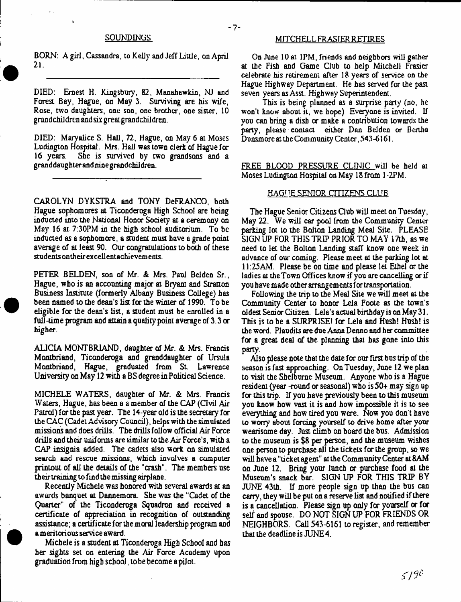BORN: A girl, Cassandra, to Kelly and Jeff Little, on April  $21.$ 

DIED: Ernest H. Kingsbury, 82, Manahawkin, NJ and Forest Bay, Hague, on May 3. Surviving are his wife, Rose, two daughters, one son, one brother, one sister, 10 grandchildren and six greatgrandchildren.

DIED: Maryalice S. Hall, 72, Hague, on May 6 at Moses Ludington Hospital. Mrs. Hall was town clerk of Hague for She is survived by two grandsons and a granddaughter andmnegrandchiJdren.

CAROLYN DYKSTRA and TONY DeFRANCO, both Hague sophomores at Ticonderoga High School are being inducted into the National Honor Society at a ceremony on May 16 at. 7:30PM in the high school auditorium. To be inducted as a sophomore, a student must have a grade point average of at least 90. Our congratulations to both of these students on their ex cellentachievements.

PETER BELDEN, son of Mr. *&* Mrs. Paul Belden Sr., Hague, who is an accounting major at Bryant and Stratton Business Institute (formerly Albany Business College) has been named to the dean's list for the winter of 1990. To be eligible for the dean's list, a student must be enrolled in a full-time program and attain a quality point average of 3.3 or higher.

ALICIA MONTBRIAND, daughter of Mr. & Mrs. Francis Montbriand, Ticonderoga and granddaughter of Ursula Montbriand, Hague, graduated from St. Lawrence University on May 12 with a BS degree in Political Science.

MICHELE WATERS, daughter of Mr. & Mrs. Francis Waters, Hague, has been a a member of the CAP (Civil Air Patrol) for the past year. The 14-year old is the secretary for the CAC (Cadet Advisory Council), helps with the simulated missions and does drills. The drills follow official Air Force drills and their uniforms are similar to the Air Force's, with a CAP insignia added. The cadets also work on simulated search and rescue missions, which involves a computer printout of ail the details of the "crash". The members use their training to find the missing airplane.

Recently Michele was honored with several awards at an awards banquet at Dannemora. She was the "Cadet of the Quarter" of the Ticonderoga Squadron and received a certificate of appreciation in recognition of outstanding assistance; a certificate for the moral leadership program and a meritorious service award.

Michele is a student at Ticonderoga High School and has her sights set on entering the Air Force Academy upon graduation from high school, lobe become a pilot.

## SOUNDINGS MITCHELL FRASIER RETIRES

- 7-

On June 10 at 1PM, friends and neighbors will gather at the Fish and Game Club to help Mitchell Frasier celebrate his retirement after 18 years of service on the Hague Highway Department. He has served for the past seven years as Asst. Highway Superintendent.

This is being planned as a surprise party (no, he won't know about it, we hope) Everyone is invited. If you can bring a dish or make a contribution towards the party, please contact either Dan Belden or Bertha Dunsm ore at the Com munity Center, 543-6161.

FREE BLOOD PRESSURE CLINIC will be held at Moses Ludington Hospital on May 18 from 1 -2PM.

### HAGUE SENIOR CITIZENS CLUB

The Hague Senior Citizens Club will meet on Tuesday, May 22. We will car pool from the Community Center parking lot to the Bolton Landing Meal Site. PLEASE SIGN UP FOR THIS TRIP PRIOR TO MAY 17th, as we need to let the Bolton Landing staff know one week in advance of our coming. Please meet at the parking lot at 11:25AM. Please be on time and please let Ethel or the ladies at the Town Offices know if you are cancelling or if you have made other arrangements for transportation.

Following the trip to the Meal Site we will meet at the Community Center to honor Lela Foote as the town's oldest Senior Citizen. Lela's actual birthday is on May 31. This is to be a SURPRISE! for Lela and Hush! Hush! is the word. Plaudits are due Anna Denno and her committee for a great deal of the planning that has gone into this party.

Also please note that the date for our first bus trip of the season is fast approaching. On Tuesday, June 12 we plan to visit the Shelburne Museum. Anyone who is a Hague resident (year -round or seasonal) who is 50+ may sign up for this trip. If you have previously been to this museum you know how vast it is and how impossible it is to see everything and how tired you were. Now you don't have to worry about forcing yourself to drive home after your wearisome day. Just climb on board the bus. Admission to the museum is \$8 per person, and the museum wishes one person to purchase all the tickets for the group, so we will have a "ticket agent" at the Community Center at 8AM on June 12. Bring your lunch or purchase food at the Museum's snack bar. SIGN UP FOR THIS TRIP BY JUNE 43th. If more people sign up than the bus can carry, they will be put on a reserve list and notified if there is a cancellation. Please sign up only for yourself or for self and spouse. DO NOT SIGN UP FOR FRIENDS OR NEIGHBORS. Call 543-6161 to register, and remember that the deadline is JUNE 4.